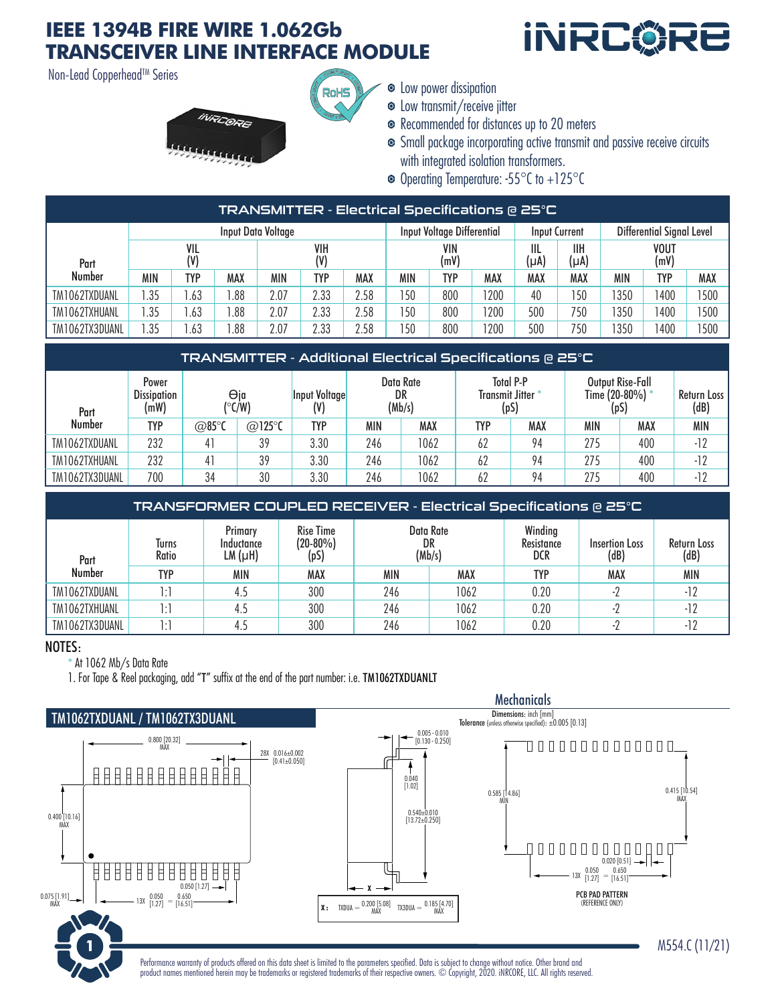## **IEEE 1394B FIRE WIRE 1.062Gb TRANSCEIVER LINE INTERFACE MODULE**

Non-Lead Copperhead™ Series



 $\bullet$  Low power dissipation

- Low transmit/receive jitter
- Recommended for distances up to 20 meters
- Small package incorporating active transmit and passive receive circuits with integrated isolation transformers.

**İNRC©F** 

Operating Temperature: -55°C to +125°C

| TRANSMITTER - Electrical Specifications @ 25°C |                    |     |     |            |      |             |     |                            |                            |     |                      |      |                           |      |  |
|------------------------------------------------|--------------------|-----|-----|------------|------|-------------|-----|----------------------------|----------------------------|-----|----------------------|------|---------------------------|------|--|
|                                                | Input Data Voltage |     |     |            |      |             |     | Input Voltage Differential |                            |     | <b>Input Current</b> |      | Differential Signal Level |      |  |
| Part                                           | VIL<br>(V)         |     |     | VIH<br>(V) |      | VIN<br>(mV) |     |                            | IIL<br>IІH<br>(µA)<br>(µA) |     | <b>VOUT</b><br>(mV)  |      |                           |      |  |
| Number                                         | MIN                | TYP | MAX | MIN        | TYP  | MAX         | MIN | TYP                        | MAX                        | MAX | MAX                  | MIN  | <b>TYP</b>                | MAX  |  |
| TM1062TXDUANL                                  | .35                | .63 | .88 | 2.07       | 2.33 | 2.58        | 150 | 800                        | 200                        | 40  | 150                  | 1350 | 1400                      | 1500 |  |
| TM1062TXHUANL                                  | .35                | .63 | .88 | 2.07       | 2.33 | 2.58        | 150 | 800                        | 200                        | 500 | 750                  | 1350 | 1400                      | '500 |  |
| TM1062TX3DUANL                                 | .35                | .63 | .88 | 2.07       | 2.33 | 2.58        | 150 | 800                        | 200                        | 500 | 750                  | 1350 | 400                       | 500  |  |

RoHS

| TRANSMITTER - Additional Electrical Specifications @ 25°C |                                     |               |                |               |                           |      |                                                     |     |                                             |     |                     |
|-----------------------------------------------------------|-------------------------------------|---------------|----------------|---------------|---------------------------|------|-----------------------------------------------------|-----|---------------------------------------------|-----|---------------------|
| Part                                                      | Power<br><b>Dissipation</b><br>(mW) | Θja<br>(°C/W) |                | Input Voltage | Data Rate<br>DR<br>(Mb/s) |      | <b>Total P-P</b><br><b>Transmit Jitter*</b><br>(pS) |     | Output Rise-Fall<br>Time (20-80%) *<br>(pS) |     | Return Loss<br>(dB) |
| Number                                                    | TYP                                 | @85°C         | $@125^\circ C$ | <b>TYP</b>    | MIN                       | MAX  | <b>TYP</b>                                          | MAX | MIN                                         | MAX | <b>MIN</b>          |
| TM1062TXDUANL                                             | 232                                 |               | 39             | 3.30          | 246                       | 1062 | 62                                                  | 94  | 275                                         | 400 | $-12$               |
| TM1062TXHUANL                                             | 232                                 |               | 39             | 3.30          | 246                       | 1062 | 62                                                  | 94  | 275                                         | 400 | $-12$               |
| TM1062TX3DUANL                                            | 700                                 | 34            | 30             | 3.30          | 246                       | 1062 | 62                                                  | 94  | 275                                         | 400 | $-12$               |

| TRANSFORMER COUPLED RECEIVER - Electrical Specifications @ 25°C |                |                                  |                                         |     |                           |                              |                               |                     |  |  |  |
|-----------------------------------------------------------------|----------------|----------------------------------|-----------------------------------------|-----|---------------------------|------------------------------|-------------------------------|---------------------|--|--|--|
| Part                                                            | Turns<br>Ratio | Primary<br>Inductance<br>LM (µH) | <b>Rise Time</b><br>$(20-80\%)$<br>(pS) |     | Data Rate<br>DR<br>(Mb/s) | Winding<br>Resistance<br>DCR | <b>Insertion Loss</b><br>(dB) | Return Loss<br>(dB) |  |  |  |
| <b>Number</b>                                                   | <b>TYP</b>     | MIN                              | MAX                                     | MIN | MAX                       | <b>TYP</b>                   | MAX                           | <b>MIN</b>          |  |  |  |
| TM1062TXDUANL                                                   | 1:1            | 4.5                              | 300                                     | 246 | 1062                      | 0.20                         |                               | $-12$               |  |  |  |
| TM1062TXHUANL                                                   | 1:1            | 4.5                              | 300                                     | 246 | 1062                      | 0.20                         |                               | $-12$               |  |  |  |
| TM1062TX3DUANL                                                  | ו ו            |                                  | 300                                     | 246 | 1062                      | 0.20                         |                               |                     |  |  |  |

#### NOTES:

\* At 1062 Mb/s Data Rate

1. For Tape & Reel packaging, add "T" suffix at the end of the part number: i.e. TM1062TXDUANLT



Performance warranty of products offered on this data sheet is limited to the parameters specified. Data is subject to change without notice. Other brand and product names mentioned herein may be trademarks or registered trademarks of their respective owners. © Copyright, 2020. iNRCORE, LLC. All rights reserved. **1** M554.C (11/21)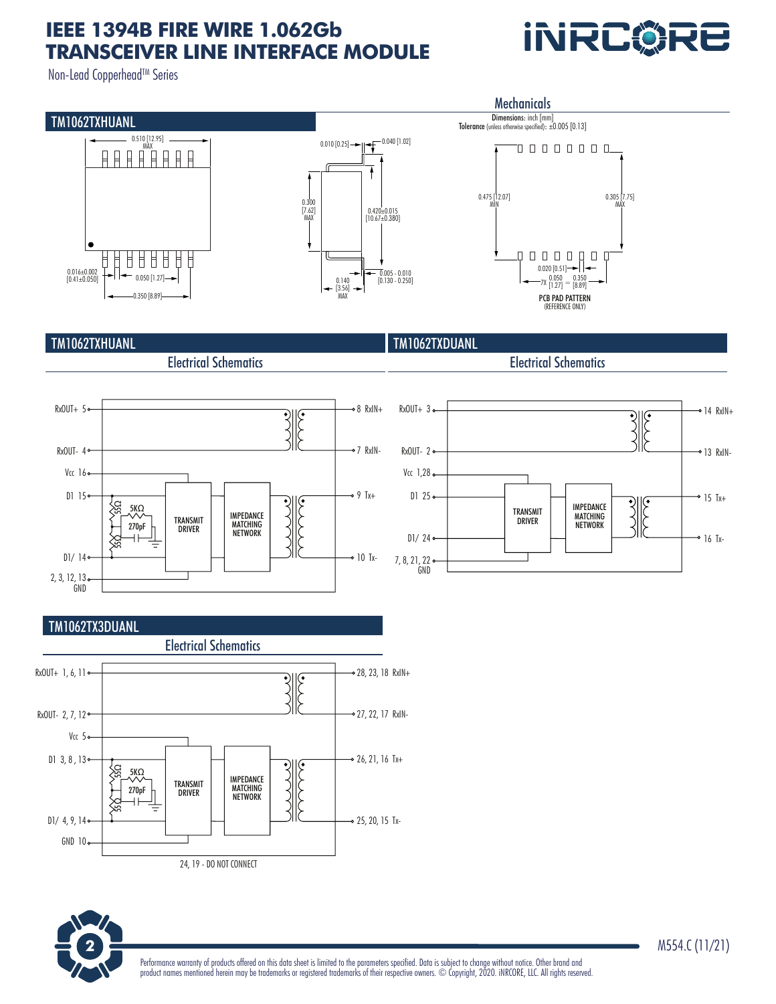# **IEEE 1394B FIRE WIRE 1.062Gb TRANSCEIVER LINE INTERFACE MODULE**

Non-Lead Copperhead™ Series



### TM1062TXHUANL

Electrical Schematics



Electrical Schematics

**INRCØRE** 





### TM1062TX3DUANL